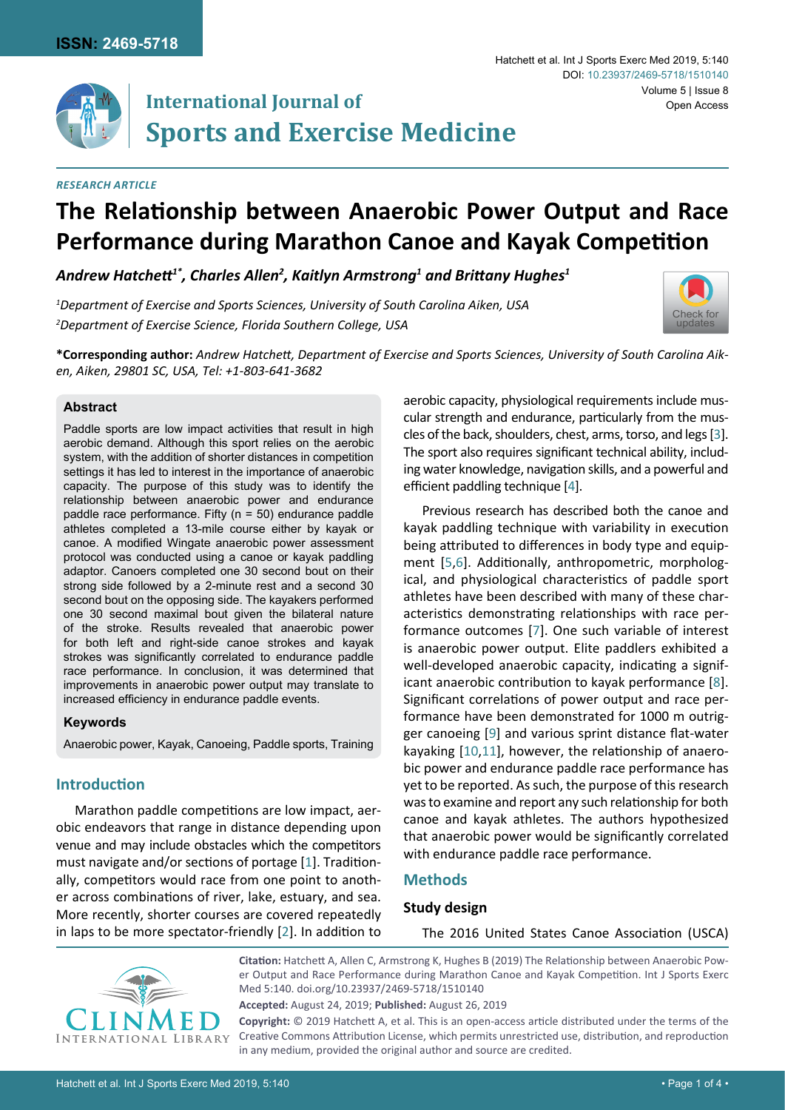

# **International Journal of Sports and Exercise Medicine**

#### *Research Article*

## **The Relationship between Anaerobic Power Output and Race Performance during Marathon Canoe and Kayak Competition**

*Andrew Hatchett1\*, Charles Allen2 , Kaitlyn Armstrong1 and Brittany Hughes<sup>1</sup>*

*1 Department of Exercise and Sports Sciences, University of South Carolina Aiken, USA 2 Department of Exercise Science, Florida Southern College, USA*



Volume 5 | Issue 8

Open Access

Hatchett et al. Int J Sports Exerc Med 2019, 5:140

DOI: [10.23937/2469-5718/1510140](https://doi.org/10.23937/2469-5718/1510140)

**\*Corresponding author:** *Andrew Hatchett, Department of Exercise and Sports Sciences, University of South Carolina Aiken, Aiken, 29801 SC, USA, Tel: +1-803-641-3682* 

#### **Abstract**

Paddle sports are low impact activities that result in high aerobic demand. Although this sport relies on the aerobic system, with the addition of shorter distances in competition settings it has led to interest in the importance of anaerobic capacity. The purpose of this study was to identify the relationship between anaerobic power and endurance paddle race performance. Fifty (n = 50) endurance paddle athletes completed a 13-mile course either by kayak or canoe. A modified Wingate anaerobic power assessment protocol was conducted using a canoe or kayak paddling adaptor. Canoers completed one 30 second bout on their strong side followed by a 2-minute rest and a second 30 second bout on the opposing side. The kayakers performed one 30 second maximal bout given the bilateral nature of the stroke. Results revealed that anaerobic power for both left and right-side canoe strokes and kayak strokes was significantly correlated to endurance paddle race performance. In conclusion, it was determined that improvements in anaerobic power output may translate to increased efficiency in endurance paddle events.

#### **Keywords**

Anaerobic power, Kayak, Canoeing, Paddle sports, Training

## **Introduction**

Marathon paddle competitions are low impact, aerobic endeavors that range in distance depending upon venue and may include obstacles which the competitors must navigate and/or sections of portage [\[1\]](#page-3-9). Traditionally, competitors would race from one point to another across combinations of river, lake, estuary, and sea. More recently, shorter courses are covered repeatedly in laps to be more spectator-friendly [[2](#page-3-10)]. In addition to

aerobic capacity, physiological requirements include muscular strength and endurance, particularly from the muscles of the back, shoulders, chest, arms, torso, and legs [\[3\]](#page-3-0). The sport also requires significant technical ability, including water knowledge, navigation skills, and a powerful and efficient paddling technique [[4](#page-3-1)].

Previous research has described both the canoe and kayak paddling technique with variability in execution being attributed to differences in body type and equipment [[5](#page-3-2),[6](#page-3-3)]. Additionally, anthropometric, morphological, and physiological characteristics of paddle sport athletes have been described with many of these characteristics demonstrating relationships with race performance outcomes [\[7\]](#page-3-4). One such variable of interest is anaerobic power output. Elite paddlers exhibited a well-developed anaerobic capacity, indicating a significant anaerobic contribution to kayak performance [\[8\]](#page-3-5). Significant correlations of power output and race performance have been demonstrated for 1000 m outrigger canoeing [[9](#page-3-6)] and various sprint distance flat-water kayaking [[10,](#page-3-7)[11\]](#page-3-8), however, the relationship of anaerobic power and endurance paddle race performance has yet to be reported. As such, the purpose of this research was to examine and report any such relationship for both canoe and kayak athletes. The authors hypothesized that anaerobic power would be significantly correlated with endurance paddle race performance.

## **Methods**

## **Study design**

The 2016 United States Canoe Association (USCA)



**Citation:** Hatchett A, Allen C, Armstrong K, Hughes B (2019) The Relationship between Anaerobic Power Output and Race Performance during Marathon Canoe and Kayak Competition. Int J Sports Exerc Med 5:140. [doi.org/10.23937/2469-5718/1510140](https://doi.org/10.23937/2469-5718/1510140)

**Accepted:** August 24, 2019; **Published:** August 26, 2019

**Copyright:** © 2019 Hatchett A, et al. This is an open-access article distributed under the terms of the Creative Commons Attribution License, which permits unrestricted use, distribution, and reproduction in any medium, provided the original author and source are credited.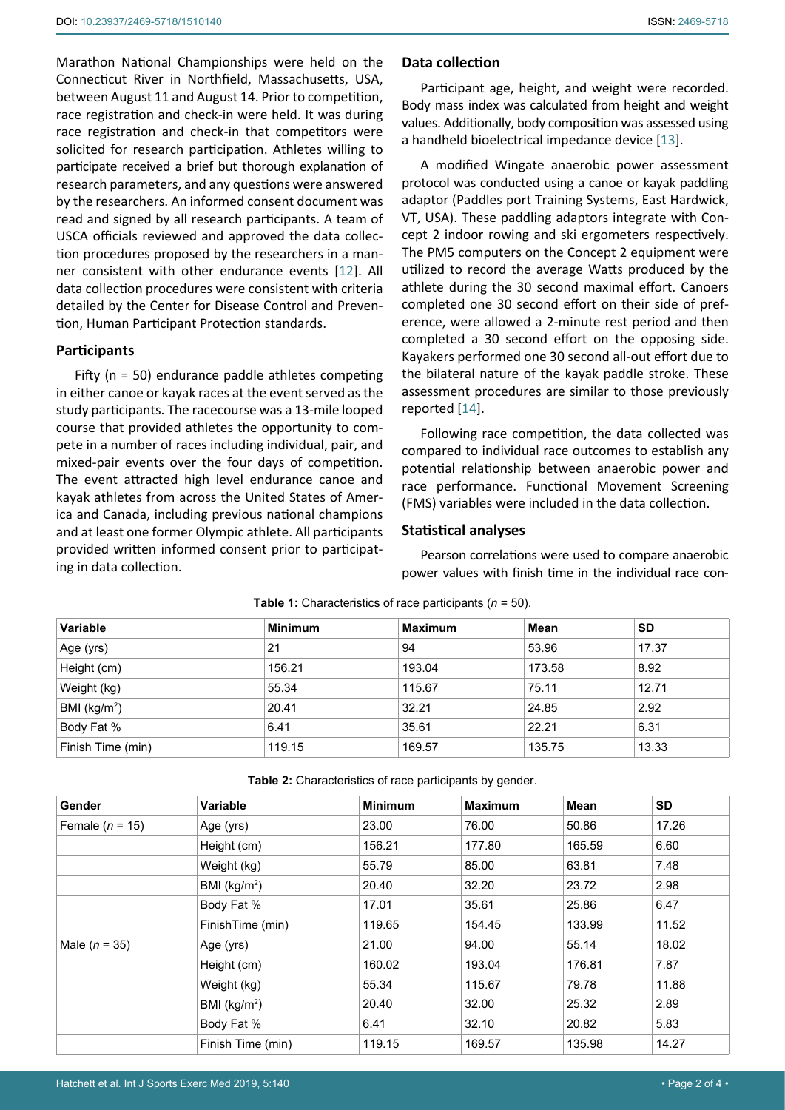participate received a brief but thorough explanation of research parameters, and any questions were answered by the researchers. An informed consent document was read and signed by all research participants. A team of USCA officials reviewed and approved the data collection procedures proposed by the researchers in a manner consistent with other endurance events [\[12](#page-3-13)]. All data collection procedures were consistent with criteria detailed by the Center for Disease Control and Prevention, Human Participant Protection standards.

## **Participants**

Fifty (n = 50) endurance paddle athletes competing in either canoe or kayak races at the event served as the study participants. The racecourse was a 13-mile looped course that provided athletes the opportunity to compete in a number of races including individual, pair, and mixed-pair events over the four days of competition. The event attracted high level endurance canoe and kayak athletes from across the United States of America and Canada, including previous national champions and at least one former Olympic athlete. All participants provided written informed consent prior to participating in data collection.

#### **Data collection**

Participant age, height, and weight were recorded. Body mass index was calculated from height and weight values. Additionally, body composition was assessed using a handheld bioelectrical impedance device [\[13](#page-3-11)].

A modified Wingate anaerobic power assessment protocol was conducted using a canoe or kayak paddling adaptor (Paddles port Training Systems, East Hardwick, VT, USA). These paddling adaptors integrate with Concept 2 indoor rowing and ski ergometers respectively. The PM5 computers on the Concept 2 equipment were utilized to record the average Watts produced by the athlete during the 30 second maximal effort. Canoers completed one 30 second effort on their side of preference, were allowed a 2-minute rest period and then completed a 30 second effort on the opposing side. Kayakers performed one 30 second all-out effort due to the bilateral nature of the kayak paddle stroke. These assessment procedures are similar to those previously reported [\[14](#page-3-12)].

Following race competition, the data collected was compared to individual race outcomes to establish any potential relationship between anaerobic power and race performance. Functional Movement Screening (FMS) variables were included in the data collection.

#### **Statistical analyses**

Pearson correlations were used to compare anaerobic power values with finish time in the individual race con-

| Variable          | <b>Minimum</b> | <b>Maximum</b> | Mean   | <b>SD</b> |  |
|-------------------|----------------|----------------|--------|-----------|--|
| Age (yrs)         | 21             | 94             | 53.96  | 17.37     |  |
| Height (cm)       | 156.21         | 193.04         | 173.58 | 8.92      |  |
| Weight (kg)       | 55.34          | 115.67         | 75.11  | 12.71     |  |
| BMI ( $kg/m2$ )   | 20.41          | 32.21          | 24.85  | 2.92      |  |
| Body Fat %        | 6.41           | 35.61          | 22.21  | 6.31      |  |
| Finish Time (min) | 119.15         | 169.57         | 135.75 | 13.33     |  |

<span id="page-1-0"></span>**Table 1:** Characteristics of race participants (*n* = 50).

<span id="page-1-1"></span>**Table 2:** Characteristics of race participants by gender.

| Gender            | <b>Variable</b>   | <b>Minimum</b> | <b>Maximum</b> | <b>Mean</b> | SD    |
|-------------------|-------------------|----------------|----------------|-------------|-------|
| Female $(n = 15)$ | Age (yrs)         | 23.00          | 76.00          | 50.86       | 17.26 |
|                   | Height (cm)       | 156.21         | 177.80         | 165.59      | 6.60  |
|                   | Weight (kg)       | 55.79          | 85.00          | 63.81       | 7.48  |
|                   | BMI ( $kg/m2$ )   | 20.40          | 32.20          | 23.72       | 2.98  |
|                   | Body Fat %        | 17.01          | 35.61          | 25.86       | 6.47  |
|                   | FinishTime (min)  | 119.65         | 154.45         | 133.99      | 11.52 |
| Male $(n = 35)$   | Age (yrs)         | 21.00          | 94.00          | 55.14       | 18.02 |
|                   | Height (cm)       | 160.02         | 193.04         | 176.81      | 7.87  |
|                   | Weight (kg)       | 55.34          | 115.67         | 79.78       | 11.88 |
|                   | BMI ( $kg/m2$ )   | 20.40          | 32.00          | 25.32       | 2.89  |
|                   | Body Fat %        | 6.41           | 32.10          | 20.82       | 5.83  |
|                   | Finish Time (min) | 119.15         | 169.57         | 135.98      | 14.27 |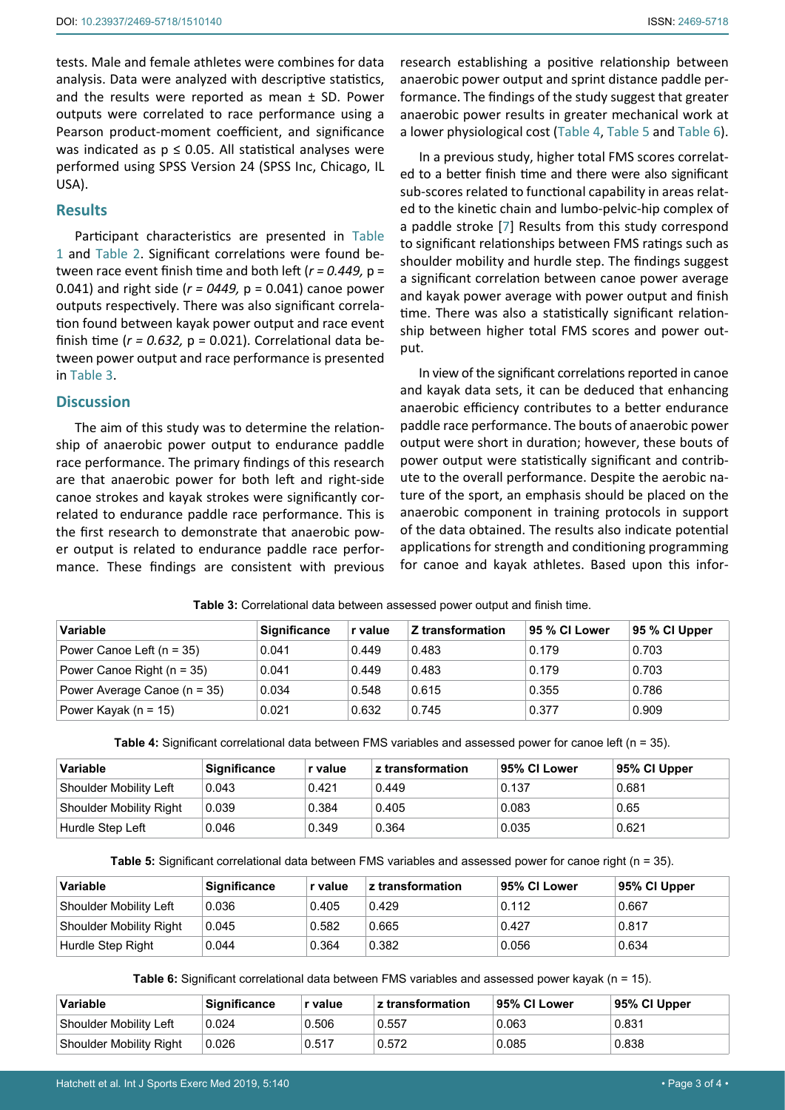tests. Male and female athletes were combines for data analysis. Data were analyzed with descriptive statistics, and the results were reported as mean ± SD. Power outputs were correlated to race performance using a Pearson product-moment coefficient, and significance was indicated as  $p \le 0.05$ . All statistical analyses were performed using SPSS Version 24 (SPSS Inc, Chicago, IL USA).

#### **Results**

Participant characteristics are presented in [Table](#page-1-0)  [1](#page-1-0) and [Table 2](#page-1-1). Significant correlations were found between race event finish time and both left (*r = 0.449,* p = 0.041) and right side (*r = 0449,* p = 0.041) canoe power outputs respectively. There was also significant correlation found between kayak power output and race event finish time  $(r = 0.632, p = 0.021)$ . Correlational data between power output and race performance is presented in [Table 3.](#page-2-3)

#### **Discussion**

The aim of this study was to determine the relationship of anaerobic power output to endurance paddle race performance. The primary findings of this research are that anaerobic power for both left and right-side canoe strokes and kayak strokes were significantly correlated to endurance paddle race performance. This is the first research to demonstrate that anaerobic power output is related to endurance paddle race performance. These findings are consistent with previous

research establishing a positive relationship between anaerobic power output and sprint distance paddle performance. The findings of the study suggest that greater anaerobic power results in greater mechanical work at a lower physiological cost [\(Table 4](#page-2-0), [Table 5](#page-2-1) and [Table 6\)](#page-2-2).

In a previous study, higher total FMS scores correlated to a better finish time and there were also significant sub-scores related to functional capability in areas related to the kinetic chain and lumbo-pelvic-hip complex of a paddle stroke [\[7\]](#page-3-4) Results from this study correspond to significant relationships between FMS ratings such as shoulder mobility and hurdle step. The findings suggest a significant correlation between canoe power average and kayak power average with power output and finish time. There was also a statistically significant relationship between higher total FMS scores and power output.

In view of the significant correlations reported in canoe and kayak data sets, it can be deduced that enhancing anaerobic efficiency contributes to a better endurance paddle race performance. The bouts of anaerobic power output were short in duration; however, these bouts of power output were statistically significant and contribute to the overall performance. Despite the aerobic nature of the sport, an emphasis should be placed on the anaerobic component in training protocols in support of the data obtained. The results also indicate potential applications for strength and conditioning programming for canoe and kayak athletes. Based upon this infor-

| Variable                       | <b>Significance</b> | r value | Z transformation | 95 % CI Lower | 95 % CI Upper |
|--------------------------------|---------------------|---------|------------------|---------------|---------------|
| Power Canoe Left $(n = 35)$    | 0.041               | 0.449   | 0.483            | 0.179         | 0.703         |
| Power Canoe Right ( $n = 35$ ) | 0.041               | 0.449   | 0.483            | 0.179         | 0.703         |
| Power Average Canoe (n = 35)   | 0.034               | 0.548   | 0.615            | 0.355         | 0.786         |
| Power Kayak ( $n = 15$ )       | 0.021               | 0.632   | 0.745            | 0.377         | 0.909         |

#### <span id="page-2-3"></span>**Table 3:** Correlational data between assessed power output and finish time.

<span id="page-2-0"></span>**Table 4:** Significant correlational data between FMS variables and assessed power for canoe left (n = 35).

| <b>Variable</b>         | <b>Significance</b> | r value | z transformation | 95% CI Lower | 95% CI Upper |
|-------------------------|---------------------|---------|------------------|--------------|--------------|
| Shoulder Mobility Left  | 0.043               | 0.421   | 0.449            | 0.137        | 0.681        |
| Shoulder Mobility Right | 0.039               | 0.384   | 0.405            | 0.083        | 0.65         |
| Hurdle Step Left        | 0.046               | 0.349   | 0.364            | 0.035        | 0.621        |

<span id="page-2-1"></span>**Table 5:** Significant correlational data between FMS variables and assessed power for canoe right (n = 35).

| Variable                       | <b>Significance</b> | r value | $\,$ z transformation | ⊧95% CI Lower | 95% CI Upper |
|--------------------------------|---------------------|---------|-----------------------|---------------|--------------|
| Shoulder Mobility Left         | 0.036               | 0.405   | 0.429                 | 0.112         | 0.667        |
| <b>Shoulder Mobility Right</b> | 0.045               | 0.582   | 0.665                 | 0.427         | 0.817        |
| Hurdle Step Right              | 0.044               | 0.364   | 0.382                 | 0.056         | 0.634        |

<span id="page-2-2"></span>**Table 6:** Significant correlational data between FMS variables and assessed power kayak (n = 15).

| <b>Variable</b>         | <b>Significance</b> | r value | z transformation | 95% CI Lower | 95% CI Upper |
|-------------------------|---------------------|---------|------------------|--------------|--------------|
| Shoulder Mobility Left  | 0.024               | 0.506   | 0.557            | 0.063        | 0.831        |
| Shoulder Mobility Right | 0.026               | 0.517   | 0.572            | 0.085        | 0.838        |